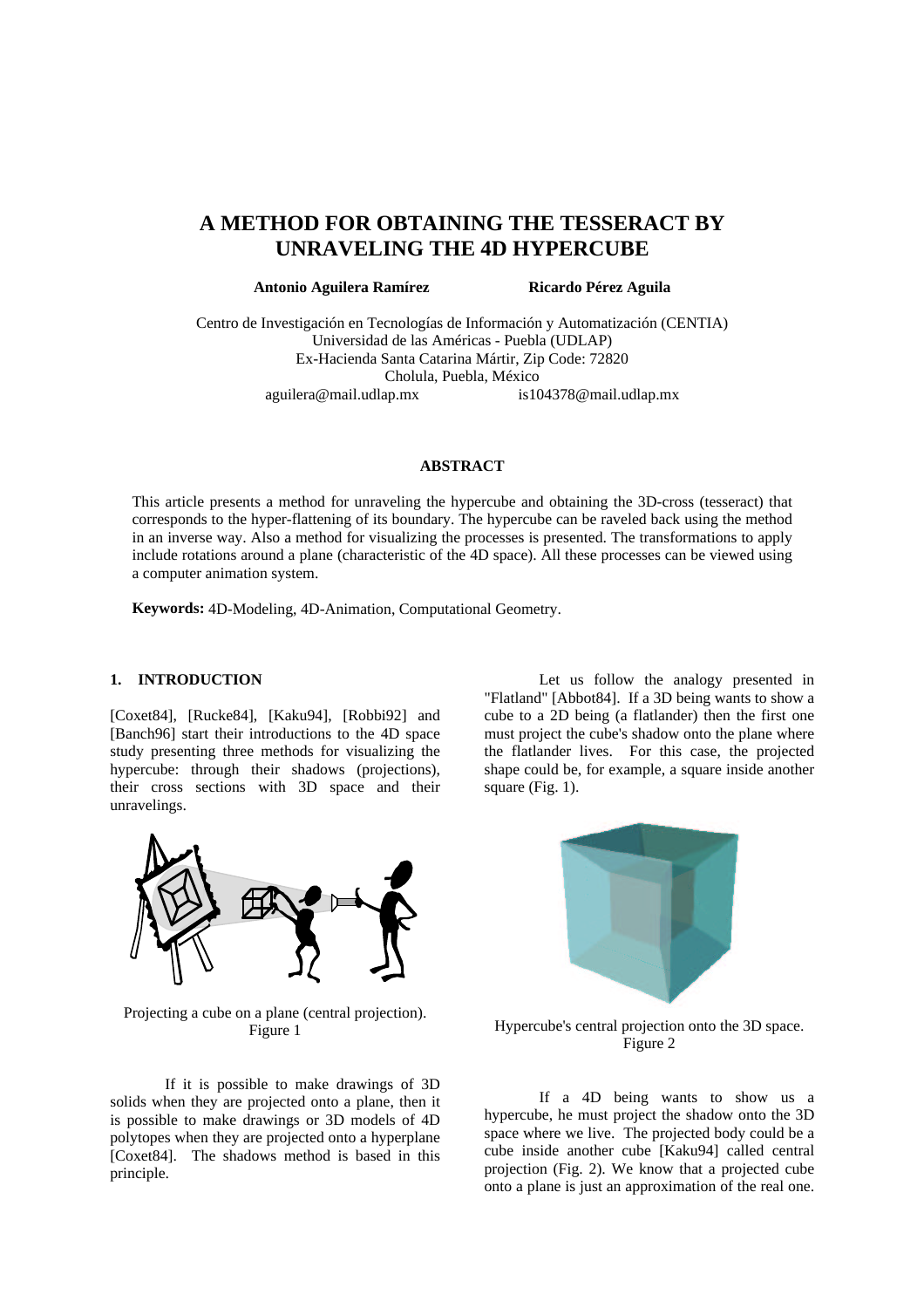# **A METHOD FOR OBTAINING THE TESSERACT BY UNRAVELING THE 4D HYPERCUBE**

**Antonio Aguilera Ramírez Ricardo Pérez Aguila**

Centro de Investigación en Tecnologías de Información y Automatización (CENTIA) Universidad de las Américas - Puebla (UDLAP) Ex-Hacienda Santa Catarina Mártir, Zip Code: 72820 Cholula, Puebla, México aguilera@mail.udlap.mx is104378@mail.udlap.mx

#### **ABSTRACT**

This article presents a method for unraveling the hypercube and obtaining the 3D-cross (tesseract) that corresponds to the hyper-flattening of its boundary. The hypercube can be raveled back using the method in an inverse way. Also a method for visualizing the processes is presented. The transformations to apply include rotations around a plane (characteristic of the 4D space). All these processes can be viewed using a computer animation system.

**Keywords:** 4D-Modeling, 4D-Animation, Computational Geometry.

## **1. INTRODUCTION**

[Coxet84], [Rucke84], [Kaku94], [Robbi92] and [Banch96] start their introductions to the 4D space study presenting three methods for visualizing the hypercube: through their shadows (projections), their cross sections with 3D space and their unravelings.



Projecting a cube on a plane (central projection). Figure 1

If it is possible to make drawings of 3D solids when they are projected onto a plane, then it is possible to make drawings or 3D models of 4D polytopes when they are projected onto a hyperplane [Coxet84]. The shadows method is based in this principle.

Let us follow the analogy presented in "Flatland" [Abbot84]. If a 3D being wants to show a cube to a 2D being (a flatlander) then the first one must project the cube's shadow onto the plane where the flatlander lives. For this case, the projected shape could be, for example, a square inside another square (Fig. 1).



Hypercube's central projection onto the 3D space. Figure 2

If a 4D being wants to show us a hypercube, he must project the shadow onto the 3D space where we live. The projected body could be a cube inside another cube [Kaku94] called central projection (Fig. 2). We know that a projected cube onto a plane is just an approximation of the real one.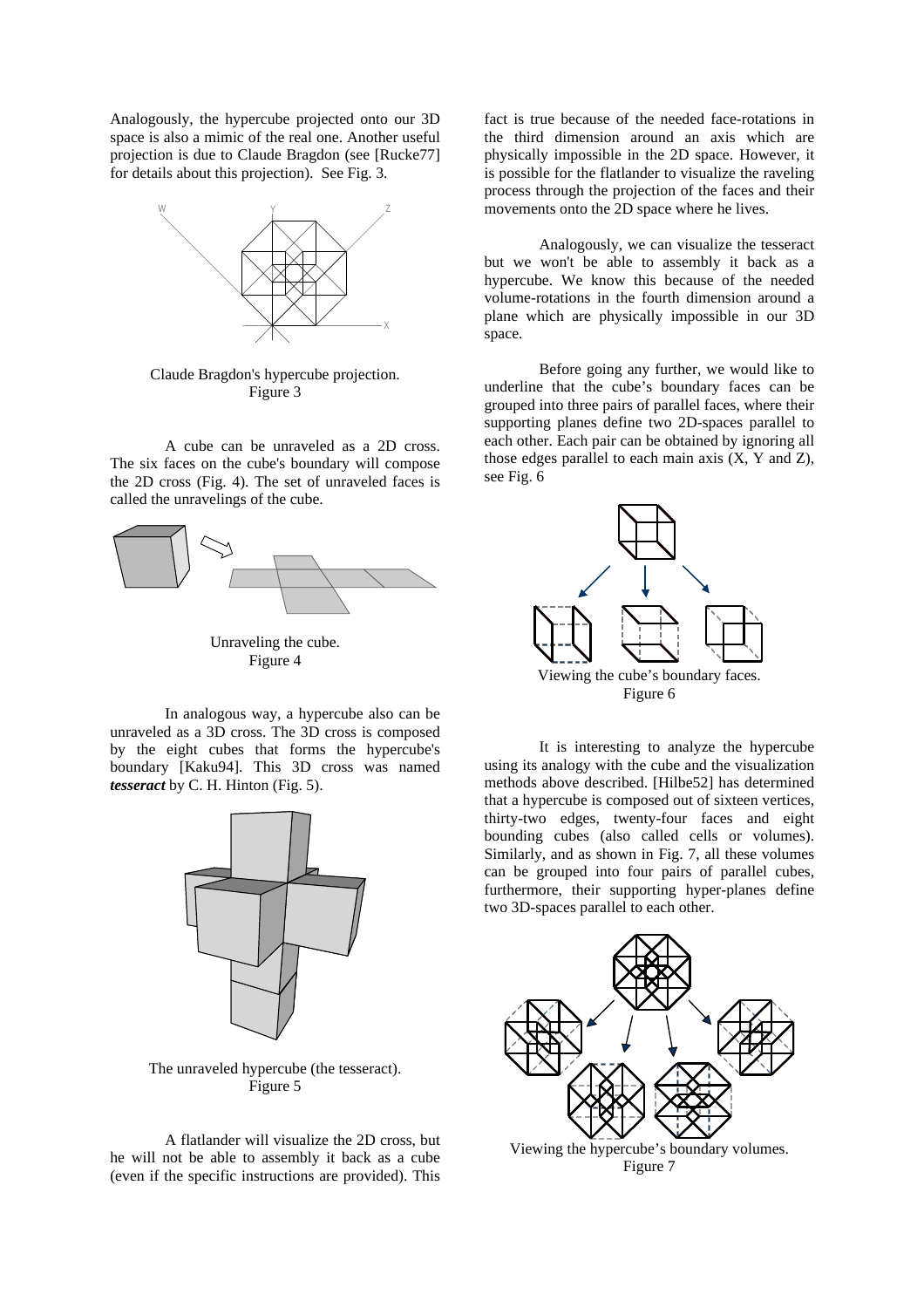Analogously, the hypercube projected onto our 3D space is also a mimic of the real one. Another useful projection is due to Claude Bragdon (see [Rucke77] for details about this projection). See Fig. 3.



Claude Bragdon's hypercube projection. Figure 3

A cube can be unraveled as a 2D cross. The six faces on the cube's boundary will compose the 2D cross (Fig. 4). The set of unraveled faces is called the unravelings of the cube.



Unraveling the cube. Figure 4

In analogous way, a hypercube also can be unraveled as a 3D cross. The 3D cross is composed by the eight cubes that forms the hypercube's boundary [Kaku94]. This 3D cross was named *tesseract* by C. H. Hinton (Fig. 5).



The unraveled hypercube (the tesseract). Figure 5

A flatlander will visualize the 2D cross, but he will not be able to assembly it back as a cube (even if the specific instructions are provided). This fact is true because of the needed face-rotations in the third dimension around an axis which are physically impossible in the 2D space. However, it is possible for the flatlander to visualize the raveling process through the projection of the faces and their movements onto the 2D space where he lives.

Analogously, we can visualize the tesseract but we won't be able to assembly it back as a hypercube. We know this because of the needed volume-rotations in the fourth dimension around a plane which are physically impossible in our 3D space.

Before going any further, we would like to underline that the cube's boundary faces can be grouped into three pairs of parallel faces, where their supporting planes define two 2D-spaces parallel to each other. Each pair can be obtained by ignoring all those edges parallel to each main axis (X, Y and Z), see Fig. 6



It is interesting to analyze the hypercube using its analogy with the cube and the visualization methods above described. [Hilbe52] has determined that a hypercube is composed out of sixteen vertices, thirty-two edges, twenty-four faces and eight bounding cubes (also called cells or volumes). Similarly, and as shown in Fig. 7, all these volumes can be grouped into four pairs of parallel cubes, furthermore, their supporting hyper-planes define two 3D-spaces parallel to each other.



Viewing the hypercube's boundary volumes. Figure 7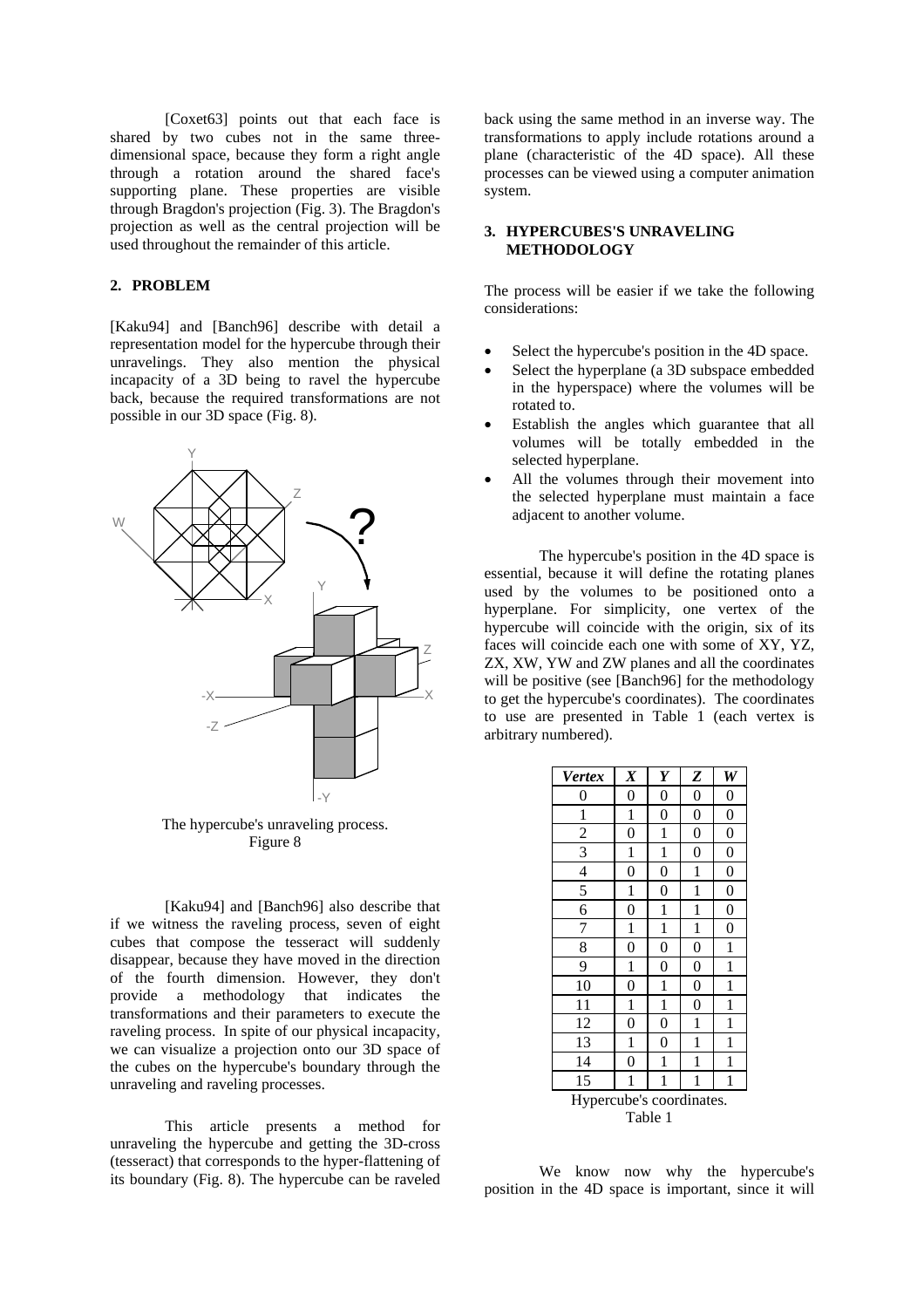[Coxet63] points out that each face is shared by two cubes not in the same threedimensional space, because they form a right angle through a rotation around the shared face's supporting plane. These properties are visible through Bragdon's projection (Fig. 3). The Bragdon's projection as well as the central projection will be used throughout the remainder of this article.

## **2. PROBLEM**

[Kaku94] and [Banch96] describe with detail a representation model for the hypercube through their unravelings. They also mention the physical incapacity of a 3D being to ravel the hypercube back, because the required transformations are not possible in our 3D space (Fig. 8).



The hypercube's unraveling process. Figure 8

[Kaku94] and [Banch96] also describe that if we witness the raveling process, seven of eight cubes that compose the tesseract will suddenly disappear, because they have moved in the direction of the fourth dimension. However, they don't provide a methodology that indicates the transformations and their parameters to execute the raveling process. In spite of our physical incapacity, we can visualize a projection onto our 3D space of the cubes on the hypercube's boundary through the unraveling and raveling processes.

This article presents a method for unraveling the hypercube and getting the 3D-cross (tesseract) that corresponds to the hyper-flattening of its boundary (Fig. 8). The hypercube can be raveled back using the same method in an inverse way. The transformations to apply include rotations around a plane (characteristic of the 4D space). All these processes can be viewed using a computer animation system.

#### **3. HYPERCUBES'S UNRAVELING METHODOLOGY**

The process will be easier if we take the following considerations:

- Select the hypercube's position in the 4D space.
- Select the hyperplane (a 3D subspace embedded in the hyperspace) where the volumes will be rotated to.
- Establish the angles which guarantee that all volumes will be totally embedded in the selected hyperplane.
- All the volumes through their movement into the selected hyperplane must maintain a face adjacent to another volume.

The hypercube's position in the 4D space is essential, because it will define the rotating planes used by the volumes to be positioned onto a hyperplane. For simplicity, one vertex of the hypercube will coincide with the origin, six of its faces will coincide each one with some of XY, YZ, ZX, XW, YW and ZW planes and all the coordinates will be positive (see [Banch96] for the methodology to get the hypercube's coordinates). The coordinates to use are presented in Table 1 (each vertex is arbitrary numbered).

| <b>Vertex</b>            | $\boldsymbol{X}$ | Y              | Z                | W                |
|--------------------------|------------------|----------------|------------------|------------------|
| $\boldsymbol{0}$         | $\overline{0}$   | $\overline{0}$ | $\boldsymbol{0}$ | $\boldsymbol{0}$ |
| 1                        | $\mathbf{1}$     | $\overline{0}$ | $\boldsymbol{0}$ | $\boldsymbol{0}$ |
| $\overline{c}$           | $\overline{0}$   | 1              | $\overline{0}$   | $\boldsymbol{0}$ |
| 3                        | 1                | 1              | $\overline{0}$   | $\overline{0}$   |
| $\overline{4}$           | 0                | $\overline{0}$ | 1                | $\overline{0}$   |
| 5                        | 1                | $\overline{0}$ | 1                | $\overline{0}$   |
| 6                        | $\overline{0}$   | 1              | 1                | $\overline{0}$   |
| 7                        | 1                | 1              | 1                | $\overline{0}$   |
| 8                        | 0                | 0              | $\overline{0}$   | 1                |
| 9                        | 1                | 0              | $\overline{0}$   | 1                |
| 10                       | 0                | 1              | $\overline{0}$   | 1                |
| 11                       | 1                | 1              | 0                | 1                |
| 12                       | 0                | $\overline{0}$ | 1                | 1                |
| 13                       | 1                | 0              | 1                | 1                |
| 14                       | $\overline{0}$   | 1              | 1                | 1                |
| 15                       | 1                | 1              | 1                | 1                |
| Hypercube's coordinates. |                  |                |                  |                  |
| Table 1                  |                  |                |                  |                  |

We know now why the hypercube's position in the 4D space is important, since it will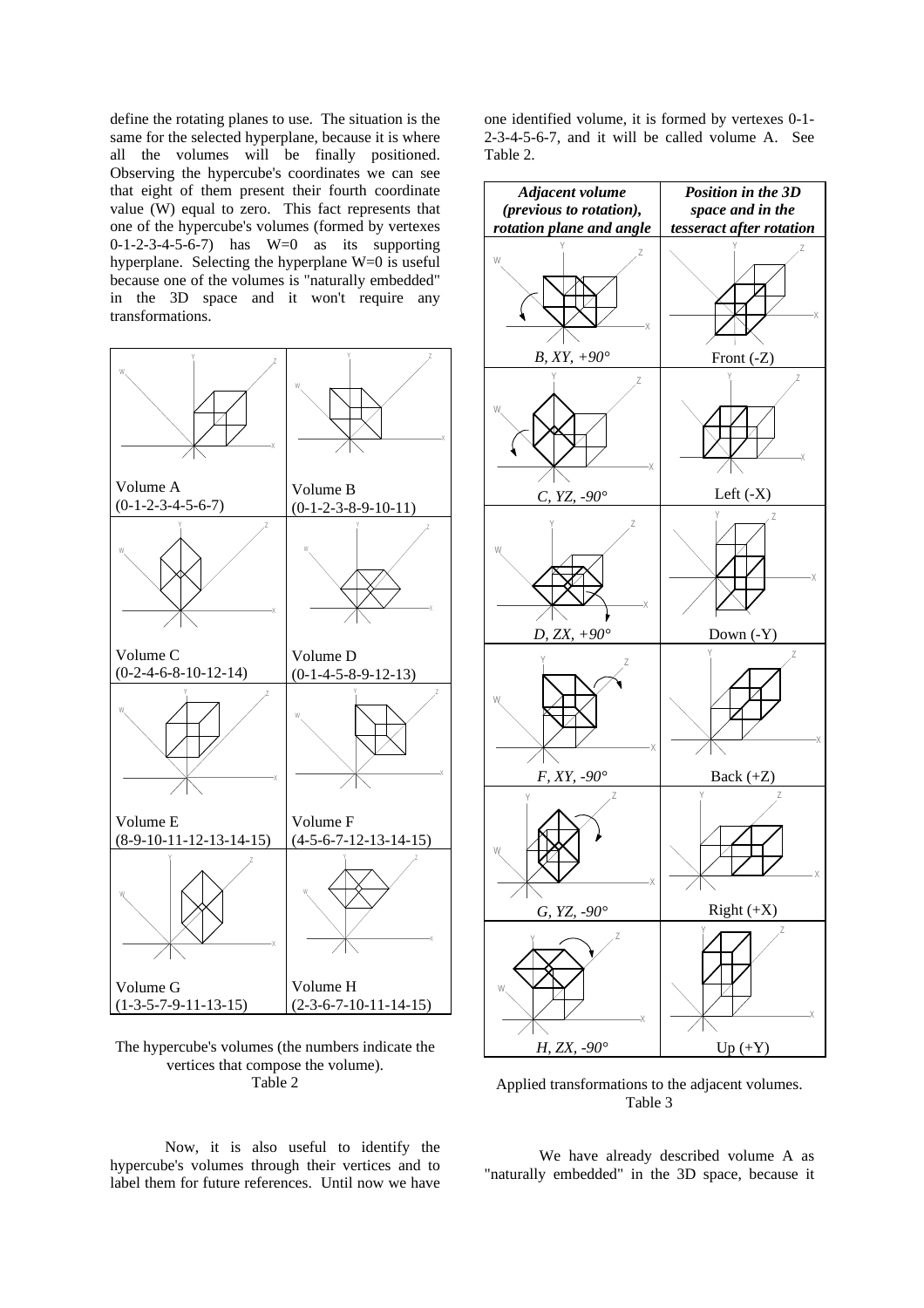define the rotating planes to use. The situation is the same for the selected hyperplane, because it is where all the volumes will be finally positioned. Observing the hypercube's coordinates we can see that eight of them present their fourth coordinate value  $(W)$  equal to zero. This fact represents that one of the hypercube's volumes (formed by vertexes  $0-1-2-3-4-5-6-7$ ) has  $W=0$  as its supporting hyperplane. Selecting the hyperplane  $W=0$  is useful because one of the volumes is "naturally embedded" in the 3D space and it won't require any transformations.



The hypercube's volumes (the numbers indicate the vertices that compose the volume). Table 2

Now, it is also useful to identify the hypercube's volumes through their vertices and to label them for future references. Until now we have one identified volume, it is formed by vertexes 0-1- 2-3-4-5-6-7, and it will be called volume A. See Table 2.



Applied transformations to the adjacent volumes. Table 3

We have already described volume A as "naturally embedded" in the 3D space, because it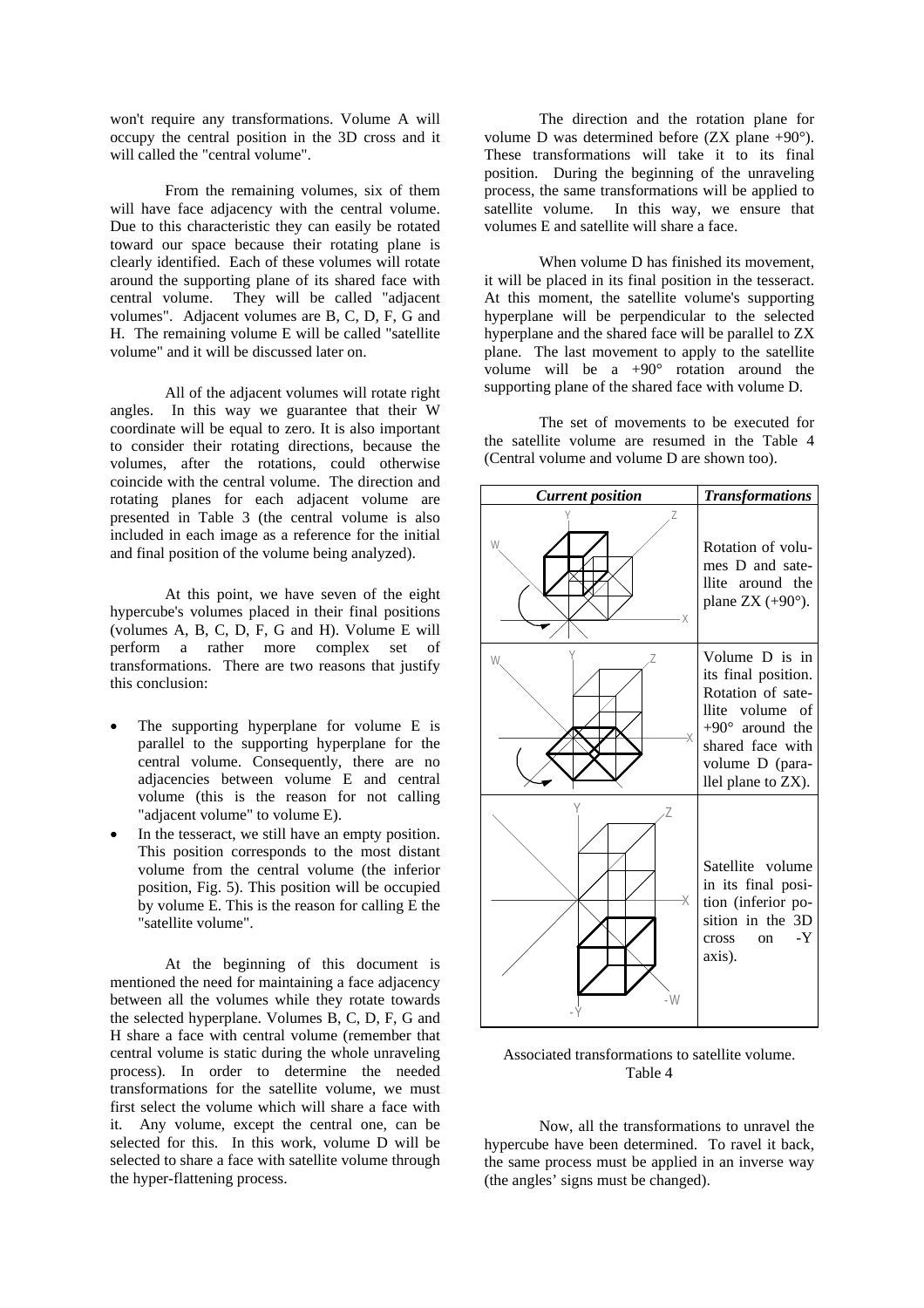won't require any transformations. Volume A will occupy the central position in the 3D cross and it will called the "central volume".

From the remaining volumes, six of them will have face adjacency with the central volume. Due to this characteristic they can easily be rotated toward our space because their rotating plane is clearly identified. Each of these volumes will rotate around the supporting plane of its shared face with<br>central volume. They will be called "adjacent They will be called "adjacent" volumes". Adjacent volumes are B, C, D, F, G and H. The remaining volume E will be called "satellite volume" and it will be discussed later on.

All of the adjacent volumes will rotate right angles. In this way we guarantee that their W coordinate will be equal to zero. It is also important to consider their rotating directions, because the volumes, after the rotations, could otherwise coincide with the central volume. The direction and rotating planes for each adjacent volume are presented in Table 3 (the central volume is also included in each image as a reference for the initial and final position of the volume being analyzed).

At this point, we have seven of the eight hypercube's volumes placed in their final positions (volumes A, B, C, D, F, G and H). Volume E will perform a rather more complex set of transformations. There are two reasons that justify this conclusion:

- The supporting hyperplane for volume E is parallel to the supporting hyperplane for the central volume. Consequently, there are no adjacencies between volume E and central volume (this is the reason for not calling "adjacent volume" to volume E).
- In the tesseract, we still have an empty position. This position corresponds to the most distant volume from the central volume (the inferior position, Fig. 5). This position will be occupied by volume E. This is the reason for calling E the "satellite volume".

At the beginning of this document is mentioned the need for maintaining a face adjacency between all the volumes while they rotate towards the selected hyperplane. Volumes B, C, D, F, G and H share a face with central volume (remember that central volume is static during the whole unraveling process). In order to determine the needed transformations for the satellite volume, we must first select the volume which will share a face with it. Any volume, except the central one, can be selected for this. In this work, volume D will be selected to share a face with satellite volume through the hyper-flattening process.

The direction and the rotation plane for volume D was determined before (ZX plane +90°). These transformations will take it to its final position. During the beginning of the unraveling process, the same transformations will be applied to satellite volume. In this way, we ensure that volumes E and satellite will share a face.

When volume D has finished its movement, it will be placed in its final position in the tesseract. At this moment, the satellite volume's supporting hyperplane will be perpendicular to the selected hyperplane and the shared face will be parallel to ZX plane. The last movement to apply to the satellite volume will be a  $+90^\circ$  rotation around the supporting plane of the shared face with volume D.

The set of movements to be executed for the satellite volume are resumed in the Table 4 (Central volume and volume D are shown too).



Associated transformations to satellite volume. Table 4

Now, all the transformations to unravel the hypercube have been determined. To ravel it back, the same process must be applied in an inverse way (the angles' signs must be changed).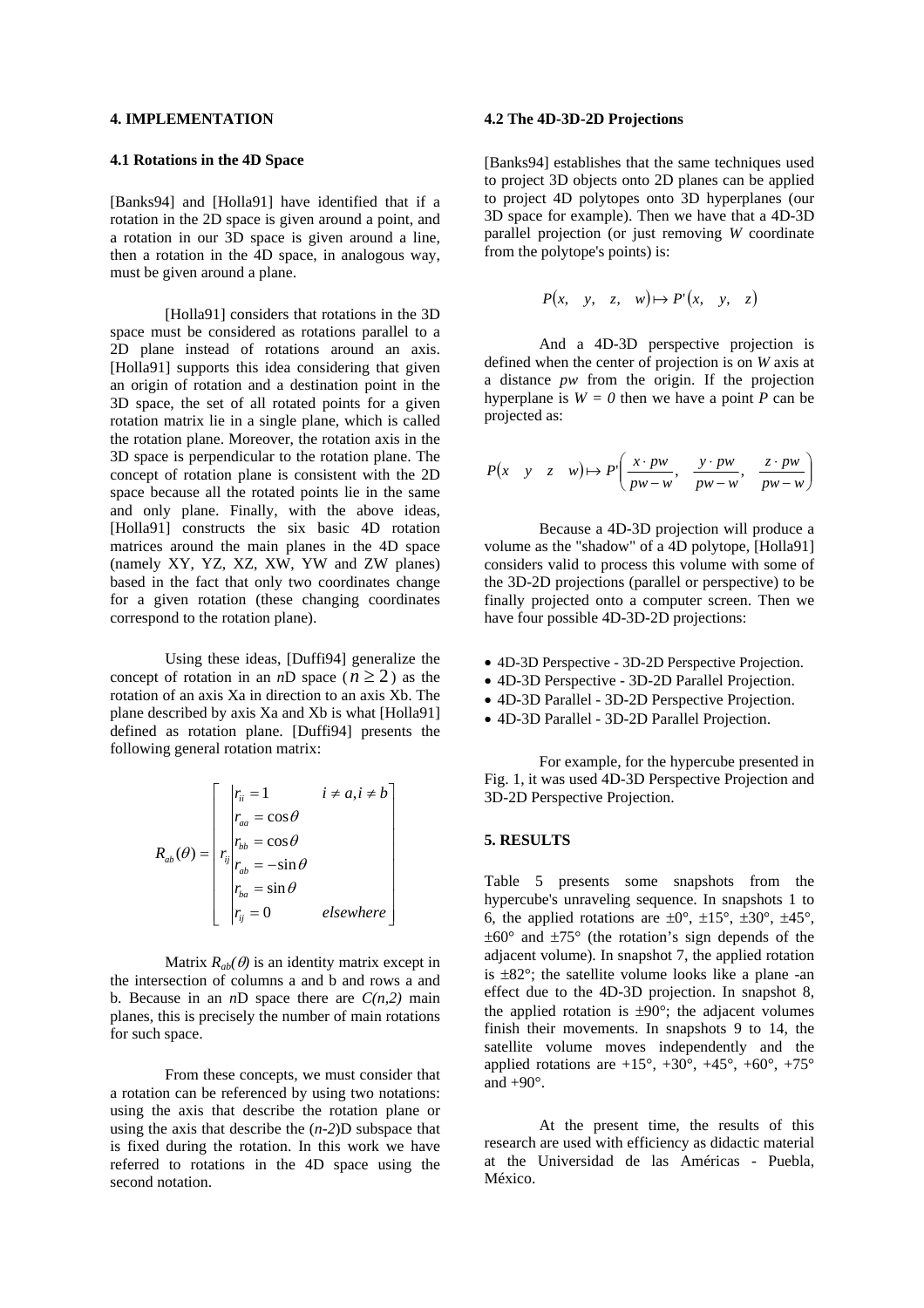#### **4. IMPLEMENTATION**

#### **4.1 Rotations in the 4D Space**

[Banks94] and [Holla91] have identified that if a rotation in the 2D space is given around a point, and a rotation in our 3D space is given around a line, then a rotation in the 4D space, in analogous way, must be given around a plane.

[Holla91] considers that rotations in the 3D space must be considered as rotations parallel to a 2D plane instead of rotations around an axis. [Holla91] supports this idea considering that given an origin of rotation and a destination point in the 3D space, the set of all rotated points for a given rotation matrix lie in a single plane, which is called the rotation plane. Moreover, the rotation axis in the 3D space is perpendicular to the rotation plane. The concept of rotation plane is consistent with the 2D space because all the rotated points lie in the same and only plane. Finally, with the above ideas, [Holla91] constructs the six basic 4D rotation matrices around the main planes in the 4D space (namely XY, YZ, XZ, XW, YW and ZW planes) based in the fact that only two coordinates change for a given rotation (these changing coordinates correspond to the rotation plane).

Using these ideas, [Duffi94] generalize the concept of rotation in an *n*D space ( $n \ge 2$ ) as the rotation of an axis Xa in direction to an axis Xb. The plane described by axis Xa and Xb is what [Holla91] defined as rotation plane. [Duffi94] presents the following general rotation matrix:

$$
R_{ab}(\theta) = \begin{bmatrix} r_{ii} = 1 & i \neq a, i \neq b \\ r_{aa} = \cos \theta \\ r_{ib} & \cos \theta \\ r_{ab} = -\sin \theta \\ r_{ba} = \sin \theta \\ r_{ij} = 0 & elsewhere \end{bmatrix}
$$

Matrix  $R_{ab}(\theta)$  is an identity matrix except in the intersection of columns a and b and rows a and b. Because in an  $nD$  space there are  $C(n,2)$  main planes, this is precisely the number of main rotations for such space.

From these concepts, we must consider that a rotation can be referenced by using two notations: using the axis that describe the rotation plane or using the axis that describe the (*n-2*)D subspace that is fixed during the rotation. In this work we have referred to rotations in the 4D space using the second notation.

#### **4.2 The 4D-3D-2D Projections**

[Banks94] establishes that the same techniques used to project 3D objects onto 2D planes can be applied to project 4D polytopes onto 3D hyperplanes (our 3D space for example). Then we have that a 4D-3D parallel projection (or just removing *W* coordinate from the polytope's points) is:

$$
P(x, y, z, w) \mapsto P'(x, y, z)
$$

And a 4D-3D perspective projection is defined when the center of projection is on *W* axis at a distance *pw* from the origin. If the projection hyperplane is  $W = 0$  then we have a point *P* can be projected as:

$$
P(x \quad y \quad z \quad w) \mapsto P\left(\frac{x \cdot pw}{pw - w}, \quad \frac{y \cdot pw}{pw - w}, \quad \frac{z \cdot pw}{pw - w}\right)
$$

Because a 4D-3D projection will produce a volume as the "shadow" of a 4D polytope, [Holla91] considers valid to process this volume with some of the 3D-2D projections (parallel or perspective) to be finally projected onto a computer screen. Then we have four possible 4D-3D-2D projections:

- 4D-3D Perspective 3D-2D Perspective Projection.
- 4D-3D Perspective 3D-2D Parallel Projection.
- 4D-3D Parallel 3D-2D Perspective Projection.
- 4D-3D Parallel 3D-2D Parallel Projection.

For example, for the hypercube presented in Fig. 1, it was used 4D-3D Perspective Projection and 3D-2D Perspective Projection.

#### **5. RESULTS**

Table 5 presents some snapshots from the hypercube's unraveling sequence. In snapshots 1 to 6, the applied rotations are  $\pm 0^{\circ}$ ,  $\pm 15^{\circ}$ ,  $\pm 30^{\circ}$ ,  $\pm 45^{\circ}$ ,  $\pm 60^{\circ}$  and  $\pm 75^{\circ}$  (the rotation's sign depends of the adjacent volume). In snapshot 7, the applied rotation is  $\pm 82^\circ$ ; the satellite volume looks like a plane -an effect due to the 4D-3D projection. In snapshot 8, the applied rotation is  $\pm 90^\circ$ ; the adjacent volumes finish their movements. In snapshots 9 to 14, the satellite volume moves independently and the applied rotations are  $+15^{\circ}$ ,  $+30^{\circ}$ ,  $+45^{\circ}$ ,  $+60^{\circ}$ ,  $+75^{\circ}$ and  $+90^\circ$ .

At the present time, the results of this research are used with efficiency as didactic material at the Universidad de las Américas - Puebla, México.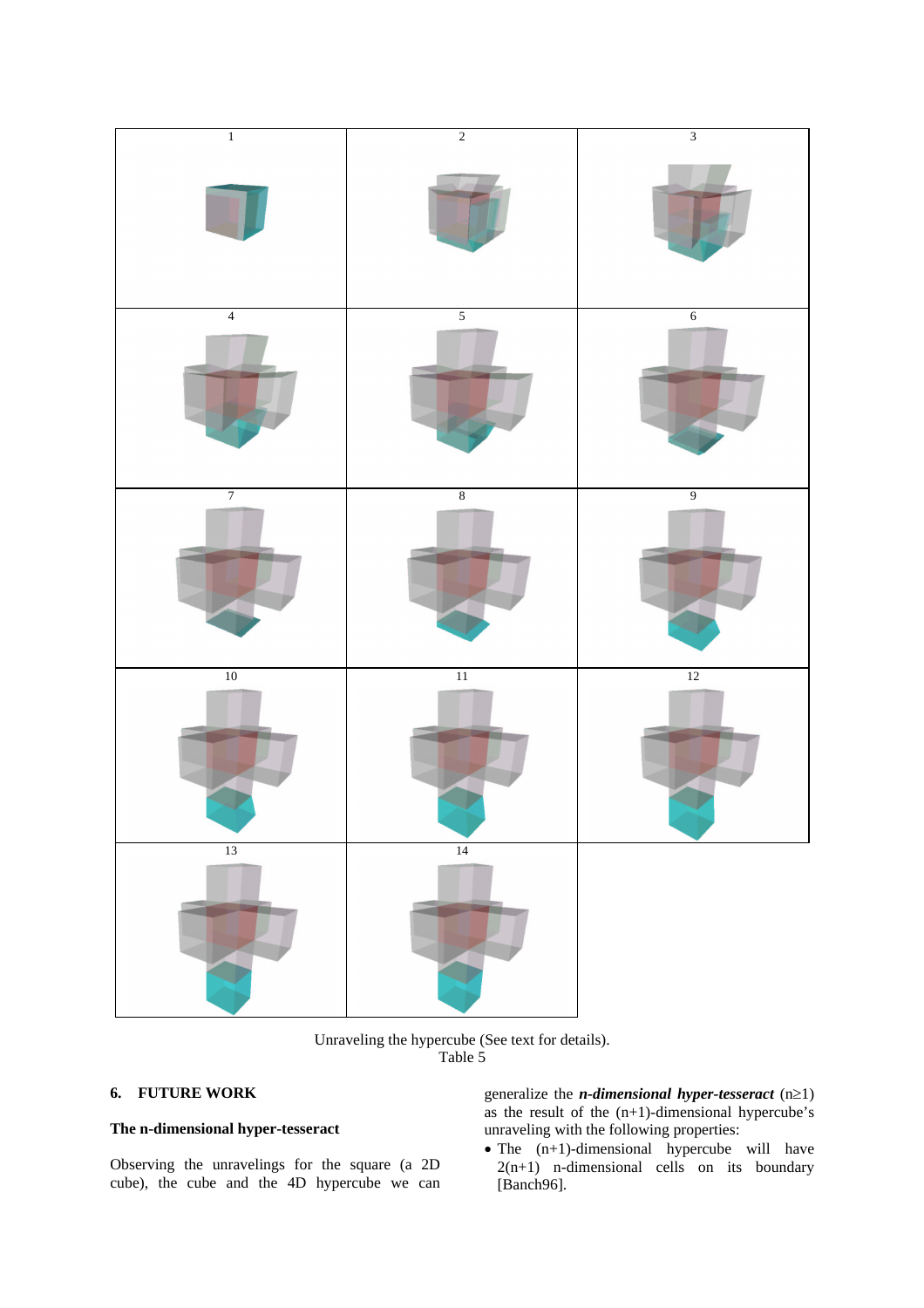

Unraveling the hypercube (See text for details). Table 5

# **6. FUTURE WORK**

# **The n-dimensional hyper-tesseract**

Observing the unravelings for the square (a 2D cube), the cube and the 4D hypercube we can generalize the *n-dimensional hyper-tesseract*  $(n \ge 1)$ as the result of the  $(n+1)$ -dimensional hypercube's unraveling with the following properties:

 $\bullet$  The  $(n+1)$ -dimensional hypercube will have  $2(n+1)$  n-dimensional cells on its boundary [Banch96].